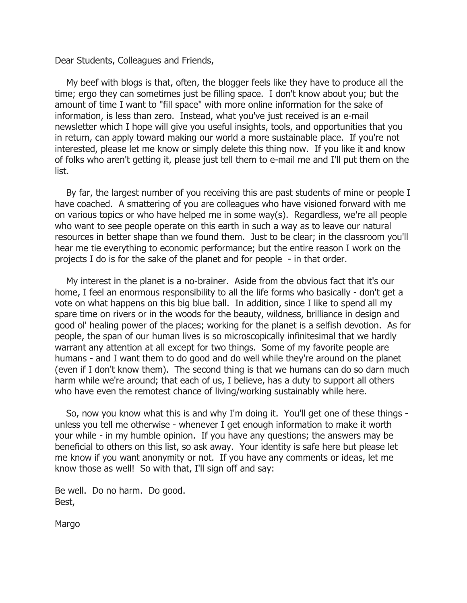Dear Students, Colleagues and Friends,

 My beef with blogs is that, often, the blogger feels like they have to produce all the time; ergo they can sometimes just be filling space. I don't know about you; but the amount of time I want to "fill space" with more online information for the sake of information, is less than zero. Instead, what you've just received is an e-mail newsletter which I hope will give you useful insights, tools, and opportunities that you in return, can apply toward making our world a more sustainable place. If you're not interested, please let me know or simply delete this thing now. If you like it and know of folks who aren't getting it, please just tell them to e-mail me and I'll put them on the list.

 By far, the largest number of you receiving this are past students of mine or people I have coached. A smattering of you are colleagues who have visioned forward with me on various topics or who have helped me in some way(s). Regardless, we're all people who want to see people operate on this earth in such a way as to leave our natural resources in better shape than we found them. Just to be clear; in the classroom you'll hear me tie everything to economic performance; but the entire reason I work on the projects I do is for the sake of the planet and for people - in that order.

 My interest in the planet is a no-brainer. Aside from the obvious fact that it's our home, I feel an enormous responsibility to all the life forms who basically - don't get a vote on what happens on this big blue ball. In addition, since I like to spend all my spare time on rivers or in the woods for the beauty, wildness, brilliance in design and good ol' healing power of the places; working for the planet is a selfish devotion. As for people, the span of our human lives is so microscopically infinitesimal that we hardly warrant any attention at all except for two things. Some of my favorite people are humans - and I want them to do good and do well while they're around on the planet (even if I don't know them). The second thing is that we humans can do so darn much harm while we're around; that each of us, I believe, has a duty to support all others who have even the remotest chance of living/working sustainably while here.

 So, now you know what this is and why I'm doing it. You'll get one of these things unless you tell me otherwise - whenever I get enough information to make it worth your while - in my humble opinion. If you have any questions; the answers may be beneficial to others on this list, so ask away. Your identity is safe here but please let me know if you want anonymity or not. If you have any comments or ideas, let me know those as well! So with that, I'll sign off and say:

Be well. Do no harm. Do good. Best,

Margo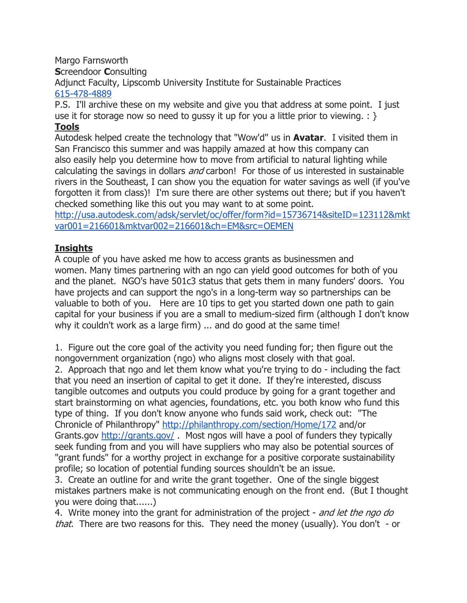Margo Farnsworth **Screendoor Consulting** Adjunct Faculty, Lipscomb University Institute for Sustainable Practices 615-478-4889

P.S. I'll archive these on my website and give you that address at some point. I just use it for storage now so need to gussy it up for you a little prior to viewing.  $: \}$ Tools

## Autodesk helped create the technology that "Wow'd" us in **Avatar**. I visited them in San Francisco this summer and was happily amazed at how this company can also easily help you determine how to move from artificial to natural lighting while calculating the savings in dollars *and* carbon! For those of us interested in sustainable rivers in the Southeast, I can show you the equation for water savings as well (if you've forgotten it from class)! I'm sure there are other systems out there; but if you haven't checked something like this out you may want to at some point.

http://usa.autodesk.com/adsk/servlet/oc/offer/form?id=15736714&siteID=123112&mkt var001=216601&mktvar002=216601&ch=EM&src=OEMEN

## **Insights**

A couple of you have asked me how to access grants as businessmen and women. Many times partnering with an ngo can yield good outcomes for both of you and the planet. NGO's have 501c3 status that gets them in many funders' doors. You have projects and can support the ngo's in a long-term way so partnerships can be valuable to both of you. Here are 10 tips to get you started down one path to gain capital for your business if you are a small to medium-sized firm (although I don't know why it couldn't work as a large firm) ... and do good at the same time!

1. Figure out the core goal of the activity you need funding for; then figure out the nongovernment organization (ngo) who aligns most closely with that goal.

2. Approach that ngo and let them know what you're trying to do - including the fact that you need an insertion of capital to get it done. If they're interested, discuss tangible outcomes and outputs you could produce by going for a grant together and start brainstorming on what agencies, foundations, etc. you both know who fund this type of thing. If you don't know anyone who funds said work, check out: "The Chronicle of Philanthropy" http://philanthropy.com/section/Home/172 and/or Grants.gov http://grants.gov/ . Most ngos will have a pool of funders they typically seek funding from and you will have suppliers who may also be potential sources of "grant funds" for a worthy project in exchange for a positive corporate sustainability profile; so location of potential funding sources shouldn't be an issue.

3. Create an outline for and write the grant together. One of the single biggest mistakes partners make is not communicating enough on the front end. (But I thought you were doing that......)

4. Write money into the grant for administration of the project - and let the ngo do that. There are two reasons for this. They need the money (usually). You don't - or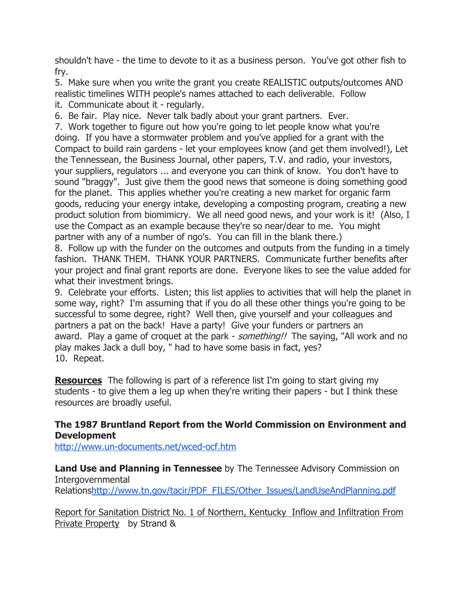shouldn't have - the time to devote to it as a business person. You've got other fish to fry.

5. Make sure when you write the grant you create REALISTIC outputs/outcomes AND realistic timelines WITH people's names attached to each deliverable. Follow

it. Communicate about it - regularly.

6. Be fair. Play nice. Never talk badly about your grant partners. Ever.

7. Work together to figure out how you're going to let people know what you're doing. If you have a stormwater problem and you've applied for a grant with the Compact to build rain gardens - let your employees know (and get them involved!), Let the Tennessean, the Business Journal, other papers, T.V. and radio, your investors, your suppliers, regulators ... and everyone you can think of know. You don't have to sound "braggy". Just give them the good news that someone is doing something good for the planet. This applies whether you're creating a new market for organic farm goods, reducing your energy intake, developing a composting program, creating a new product solution from biomimicry. We all need good news, and your work is it! (Also, I use the Compact as an example because they're so near/dear to me. You might partner with any of a number of ngo's. You can fill in the blank there.)

8. Follow up with the funder on the outcomes and outputs from the funding in a timely fashion. THANK THEM. THANK YOUR PARTNERS. Communicate further benefits after your project and final grant reports are done. Everyone likes to see the value added for what their investment brings.

9. Celebrate your efforts. Listen; this list applies to activities that will help the planet in some way, right? I'm assuming that if you do all these other things you're going to be successful to some degree, right? Well then, give yourself and your colleagues and partners a pat on the back! Have a party! Give your funders or partners an award. Play a game of croquet at the park - *something!!* The saying, "All work and no play makes Jack a dull boy, " had to have some basis in fact, yes? 10. Repeat.

**Resources** The following is part of a reference list I'm going to start giving my students - to give them a leg up when they're writing their papers - but I think these resources are broadly useful.

## The 1987 Bruntland Report from the World Commission on Environment and Development

http://www.un-documents.net/wced-ocf.htm

**Land Use and Planning in Tennessee** by The Tennessee Advisory Commission on Intergovernmental Relationshttp://www.tn.gov/tacir/PDF\_FILES/Other\_Issues/LandUseAndPlanning.pdf

Report for Sanitation District No. 1 of Northern, Kentucky Inflow and Infiltration From Private Property by Strand &